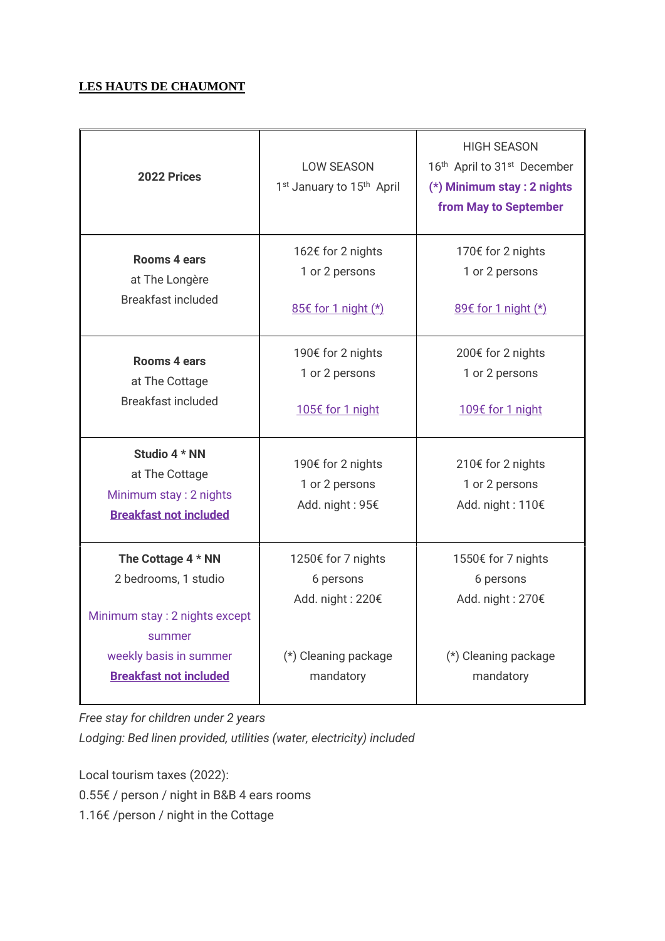## **LES HAUTS DE CHAUMONT**

| 2022 Prices                                                                                | <b>LOW SEASON</b><br>1 <sup>st</sup> January to 15 <sup>th</sup> April | <b>HIGH SEASON</b><br>16th April to 31 <sup>st</sup> December<br>(*) Minimum stay : 2 nights<br>from May to September |
|--------------------------------------------------------------------------------------------|------------------------------------------------------------------------|-----------------------------------------------------------------------------------------------------------------------|
| <b>Rooms 4 ears</b>                                                                        | 162€ for 2 nights                                                      | 170€ for 2 nights                                                                                                     |
| at The Longère                                                                             | 1 or 2 persons                                                         | 1 or 2 persons                                                                                                        |
| <b>Breakfast included</b>                                                                  | 85€ for 1 night (*)                                                    | 89€ for 1 night (*)                                                                                                   |
| <b>Rooms 4 ears</b>                                                                        | 190€ for 2 nights                                                      | 200€ for 2 nights                                                                                                     |
| at The Cottage                                                                             | 1 or 2 persons                                                         | 1 or 2 persons                                                                                                        |
| Breakfast included                                                                         | 105€ for 1 night                                                       | 109€ for 1 night                                                                                                      |
| Studio 4 * NN<br>at The Cottage<br>Minimum stay: 2 nights<br><b>Breakfast not included</b> | 190€ for 2 nights<br>1 or 2 persons<br>Add. night: 95€                 | 210€ for 2 nights<br>1 or 2 persons<br>Add. night: 110€                                                               |
| The Cottage 4 * NN<br>2 bedrooms, 1 studio<br>Minimum stay: 2 nights except<br>summer      | 1250€ for 7 nights<br>6 persons<br>Add. night: 220€                    | 1550€ for 7 nights<br>6 persons<br>Add. night: 270€                                                                   |
| weekly basis in summer                                                                     | (*) Cleaning package                                                   | (*) Cleaning package                                                                                                  |
| <b>Breakfast not included</b>                                                              | mandatory                                                              | mandatory                                                                                                             |

*Free stay for children under 2 years*

*Lodging: Bed linen provided, utilities (water, electricity) included*

Local tourism taxes (2022):

0.55€ / person / night in B&B 4 ears rooms

1.16€ /person / night in the Cottage